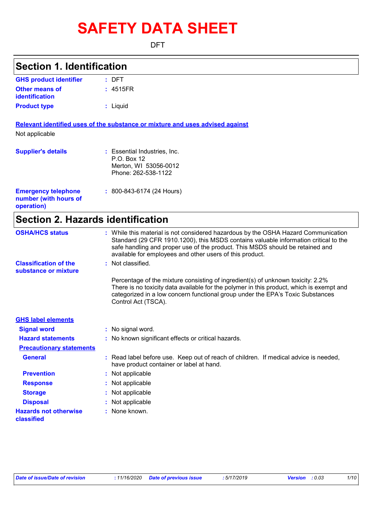# **SAFETY DATA SHEET**

DFT

### **Section 1. Identification**

| <b>GHS product identifier</b> | : DFT    |  |
|-------------------------------|----------|--|
| Other means of                | : 4515FR |  |
| identification                |          |  |
| <b>Product type</b>           | : Liquid |  |

**Relevant identified uses of the substance or mixture and uses advised against**

Not applicable

| <b>Supplier's details</b>                                         | : Essential Industries, Inc.<br>$P.O.$ Box 12<br>Merton, WI 53056-0012<br>Phone: 262-538-1122 |
|-------------------------------------------------------------------|-----------------------------------------------------------------------------------------------|
| <b>Emergency telephone</b><br>number (with hours of<br>operation) | $: 800 - 843 - 6174 (24$ Hours)                                                               |

### **Section 2. Hazards identification**

| <b>OSHA/HCS status</b>                               | : While this material is not considered hazardous by the OSHA Hazard Communication<br>Standard (29 CFR 1910.1200), this MSDS contains valuable information critical to the<br>safe handling and proper use of the product. This MSDS should be retained and<br>available for employees and other users of this product. |
|------------------------------------------------------|-------------------------------------------------------------------------------------------------------------------------------------------------------------------------------------------------------------------------------------------------------------------------------------------------------------------------|
| <b>Classification of the</b><br>substance or mixture | : Not classified.                                                                                                                                                                                                                                                                                                       |
|                                                      | Percentage of the mixture consisting of ingredient(s) of unknown toxicity: 2.2%<br>There is no toxicity data available for the polymer in this product, which is exempt and<br>categorized in a low concern functional group under the EPA's Toxic Substances<br>Control Act (TSCA).                                    |
| <b>GHS label elements</b>                            |                                                                                                                                                                                                                                                                                                                         |
| <b>Signal word</b>                                   | : No signal word.                                                                                                                                                                                                                                                                                                       |
| <b>Hazard statements</b>                             | : No known significant effects or critical hazards.                                                                                                                                                                                                                                                                     |
| <b>Precautionary statements</b>                      |                                                                                                                                                                                                                                                                                                                         |
| <b>General</b>                                       | : Read label before use. Keep out of reach of children. If medical advice is needed,<br>have product container or label at hand.                                                                                                                                                                                        |
| <b>Prevention</b>                                    | : Not applicable                                                                                                                                                                                                                                                                                                        |
| <b>Response</b>                                      | : Not applicable                                                                                                                                                                                                                                                                                                        |
| <b>Storage</b>                                       | : Not applicable                                                                                                                                                                                                                                                                                                        |
| <b>Disposal</b>                                      | : Not applicable                                                                                                                                                                                                                                                                                                        |
| <b>Hazards not otherwise</b><br>classified           | : None known.                                                                                                                                                                                                                                                                                                           |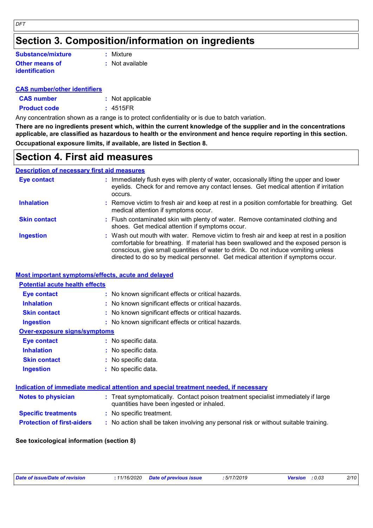### **Section 3. Composition/information on ingredients**

#### **Other means of identification Substance/mixture**

**:** Mixture

**:** Not available

#### **CAS number/other identifiers**

**CAS number :** Not applicable

**Product code :** 4515FR

Any concentration shown as a range is to protect confidentiality or is due to batch variation.

**There are no ingredients present which, within the current knowledge of the supplier and in the concentrations applicable, are classified as hazardous to health or the environment and hence require reporting in this section. Occupational exposure limits, if available, are listed in Section 8.**

### **Section 4. First aid measures**

#### **Description of necessary first aid measures**

| Eye contact         | : Immediately flush eyes with plenty of water, occasionally lifting the upper and lower<br>eyelids. Check for and remove any contact lenses. Get medical attention if irritation<br>occurs.                                                                                                                                                            |
|---------------------|--------------------------------------------------------------------------------------------------------------------------------------------------------------------------------------------------------------------------------------------------------------------------------------------------------------------------------------------------------|
| <b>Inhalation</b>   | : Remove victim to fresh air and keep at rest in a position comfortable for breathing. Get<br>medical attention if symptoms occur.                                                                                                                                                                                                                     |
| <b>Skin contact</b> | : Flush contaminated skin with plenty of water. Remove contaminated clothing and<br>shoes. Get medical attention if symptoms occur.                                                                                                                                                                                                                    |
| <b>Ingestion</b>    | : Wash out mouth with water. Remove victim to fresh air and keep at rest in a position<br>comfortable for breathing. If material has been swallowed and the exposed person is<br>conscious, give small quantities of water to drink. Do not induce vomiting unless<br>directed to do so by medical personnel. Get medical attention if symptoms occur. |

#### **Most important symptoms/effects, acute and delayed**

| <b>Potential acute health effects</b> |                                                                                                                                |
|---------------------------------------|--------------------------------------------------------------------------------------------------------------------------------|
| <b>Eye contact</b>                    | : No known significant effects or critical hazards.                                                                            |
| <b>Inhalation</b>                     | : No known significant effects or critical hazards.                                                                            |
| <b>Skin contact</b>                   | : No known significant effects or critical hazards.                                                                            |
| <b>Ingestion</b>                      | : No known significant effects or critical hazards.                                                                            |
| <b>Over-exposure signs/symptoms</b>   |                                                                                                                                |
| Eye contact                           | : No specific data.                                                                                                            |
| <b>Inhalation</b>                     | : No specific data.                                                                                                            |
| <b>Skin contact</b>                   | : No specific data.                                                                                                            |
| <b>Ingestion</b>                      | $:$ No specific data.                                                                                                          |
|                                       | Indication of immediate medical attention and special treatment needed, if necessary                                           |
| <b>Notes to physician</b>             | : Treat symptomatically. Contact poison treatment specialist immediately if large<br>quantities have been ingested or inhaled. |
| <b>Specific treatments</b>            | : No specific treatment.                                                                                                       |
| <b>Protection of first-aiders</b>     | : No action shall be taken involving any personal risk or without suitable training.                                           |

#### **See toxicological information (section 8)**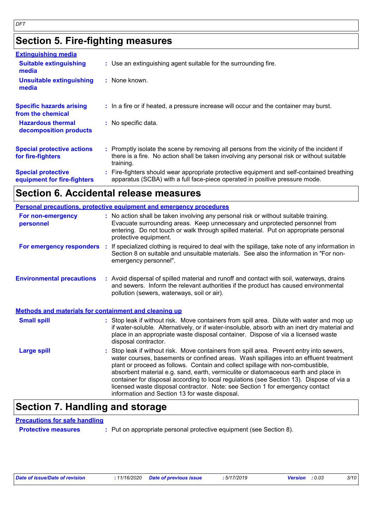### **Section 5. Fire-fighting measures**

| <b>Extinguishing media</b>                               |                                                                                                                                                                                                     |
|----------------------------------------------------------|-----------------------------------------------------------------------------------------------------------------------------------------------------------------------------------------------------|
| <b>Suitable extinguishing</b><br>media                   | : Use an extinguishing agent suitable for the surrounding fire.                                                                                                                                     |
| <b>Unsuitable extinguishing</b><br>media                 | : None known.                                                                                                                                                                                       |
| <b>Specific hazards arising</b><br>from the chemical     | : In a fire or if heated, a pressure increase will occur and the container may burst.                                                                                                               |
| <b>Hazardous thermal</b><br>decomposition products       | : No specific data.                                                                                                                                                                                 |
| <b>Special protective actions</b><br>for fire-fighters   | : Promptly isolate the scene by removing all persons from the vicinity of the incident if<br>there is a fire. No action shall be taken involving any personal risk or without suitable<br>training. |
| <b>Special protective</b><br>equipment for fire-fighters | Fire-fighters should wear appropriate protective equipment and self-contained breathing<br>apparatus (SCBA) with a full face-piece operated in positive pressure mode.                              |

### **Section 6. Accidental release measures**

|                                                              | <b>Personal precautions, protective equipment and emergency procedures</b>                                                                                                                                                                                                                                                                                                                                                                                                                                                                                                                 |
|--------------------------------------------------------------|--------------------------------------------------------------------------------------------------------------------------------------------------------------------------------------------------------------------------------------------------------------------------------------------------------------------------------------------------------------------------------------------------------------------------------------------------------------------------------------------------------------------------------------------------------------------------------------------|
| For non-emergency<br>personnel                               | : No action shall be taken involving any personal risk or without suitable training.<br>Evacuate surrounding areas. Keep unnecessary and unprotected personnel from<br>entering. Do not touch or walk through spilled material. Put on appropriate personal<br>protective equipment.                                                                                                                                                                                                                                                                                                       |
| For emergency responders :                                   | If specialized clothing is required to deal with the spillage, take note of any information in<br>Section 8 on suitable and unsuitable materials. See also the information in "For non-<br>emergency personnel".                                                                                                                                                                                                                                                                                                                                                                           |
| <b>Environmental precautions</b>                             | : Avoid dispersal of spilled material and runoff and contact with soil, waterways, drains<br>and sewers. Inform the relevant authorities if the product has caused environmental<br>pollution (sewers, waterways, soil or air).                                                                                                                                                                                                                                                                                                                                                            |
| <b>Methods and materials for containment and cleaning up</b> |                                                                                                                                                                                                                                                                                                                                                                                                                                                                                                                                                                                            |
| <b>Small spill</b>                                           | : Stop leak if without risk. Move containers from spill area. Dilute with water and mop up<br>if water-soluble. Alternatively, or if water-insoluble, absorb with an inert dry material and<br>place in an appropriate waste disposal container. Dispose of via a licensed waste<br>disposal contractor.                                                                                                                                                                                                                                                                                   |
| <b>Large spill</b>                                           | : Stop leak if without risk. Move containers from spill area. Prevent entry into sewers,<br>water courses, basements or confined areas. Wash spillages into an effluent treatment<br>plant or proceed as follows. Contain and collect spillage with non-combustible,<br>absorbent material e.g. sand, earth, vermiculite or diatomaceous earth and place in<br>container for disposal according to local regulations (see Section 13). Dispose of via a<br>licensed waste disposal contractor. Note: see Section 1 for emergency contact<br>information and Section 13 for waste disposal. |

### **Section 7. Handling and storage**

#### **Precautions for safe handling**

**Protective measures :** Put on appropriate personal protective equipment (see Section 8).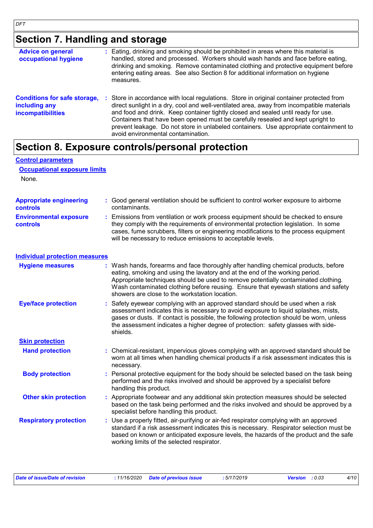**Control parameters**

### **Section 7. Handling and storage**

| <b>Advice on general</b><br>occupational hygiene                                 |   | : Eating, drinking and smoking should be prohibited in areas where this material is<br>handled, stored and processed. Workers should wash hands and face before eating,<br>drinking and smoking. Remove contaminated clothing and protective equipment before<br>entering eating areas. See also Section 8 for additional information on hygiene<br>measures.                                                                                                                              |
|----------------------------------------------------------------------------------|---|--------------------------------------------------------------------------------------------------------------------------------------------------------------------------------------------------------------------------------------------------------------------------------------------------------------------------------------------------------------------------------------------------------------------------------------------------------------------------------------------|
| <b>Conditions for safe storage,</b><br>including any<br><b>incompatibilities</b> | ÷ | Store in accordance with local regulations. Store in original container protected from<br>direct sunlight in a dry, cool and well-ventilated area, away from incompatible materials<br>and food and drink. Keep container tightly closed and sealed until ready for use.<br>Containers that have been opened must be carefully resealed and kept upright to<br>prevent leakage. Do not store in unlabeled containers. Use appropriate containment to<br>avoid environmental contamination. |

### **Section 8. Exposure controls/personal protection**

| <b>Occupational exposure limits</b>               |                                                                                                                                                                                                                                                                                                                                                                                                   |
|---------------------------------------------------|---------------------------------------------------------------------------------------------------------------------------------------------------------------------------------------------------------------------------------------------------------------------------------------------------------------------------------------------------------------------------------------------------|
| None.                                             |                                                                                                                                                                                                                                                                                                                                                                                                   |
| <b>Appropriate engineering</b><br><b>controls</b> | : Good general ventilation should be sufficient to control worker exposure to airborne<br>contaminants.                                                                                                                                                                                                                                                                                           |
| <b>Environmental exposure</b><br><b>controls</b>  | : Emissions from ventilation or work process equipment should be checked to ensure<br>they comply with the requirements of environmental protection legislation. In some<br>cases, fume scrubbers, filters or engineering modifications to the process equipment<br>will be necessary to reduce emissions to acceptable levels.                                                                   |
| <b>Individual protection measures</b>             |                                                                                                                                                                                                                                                                                                                                                                                                   |
| <b>Hygiene measures</b>                           | : Wash hands, forearms and face thoroughly after handling chemical products, before<br>eating, smoking and using the lavatory and at the end of the working period.<br>Appropriate techniques should be used to remove potentially contaminated clothing.<br>Wash contaminated clothing before reusing. Ensure that eyewash stations and safety<br>showers are close to the workstation location. |
| <b>Eye/face protection</b>                        | : Safety eyewear complying with an approved standard should be used when a risk<br>assessment indicates this is necessary to avoid exposure to liquid splashes, mists,<br>gases or dusts. If contact is possible, the following protection should be worn, unless<br>the assessment indicates a higher degree of protection: safety glasses with side-<br>shields.                                |
| <b>Skin protection</b>                            |                                                                                                                                                                                                                                                                                                                                                                                                   |
| <b>Hand protection</b>                            | : Chemical-resistant, impervious gloves complying with an approved standard should be<br>worn at all times when handling chemical products if a risk assessment indicates this is<br>necessary.                                                                                                                                                                                                   |
| <b>Body protection</b>                            | : Personal protective equipment for the body should be selected based on the task being<br>performed and the risks involved and should be approved by a specialist before<br>handling this product.                                                                                                                                                                                               |
| <b>Other skin protection</b>                      | : Appropriate footwear and any additional skin protection measures should be selected<br>based on the task being performed and the risks involved and should be approved by a<br>specialist before handling this product.                                                                                                                                                                         |
| <b>Respiratory protection</b>                     | : Use a properly fitted, air-purifying or air-fed respirator complying with an approved<br>standard if a risk assessment indicates this is necessary. Respirator selection must be<br>based on known or anticipated exposure levels, the hazards of the product and the safe<br>working limits of the selected respirator.                                                                        |

| Date of issue/Date of revision | : 11/16/2020 Date of previous issue | : 5/17/2019 | <b>Version</b> : 0.03 | 4/10 |
|--------------------------------|-------------------------------------|-------------|-----------------------|------|
|                                |                                     |             |                       |      |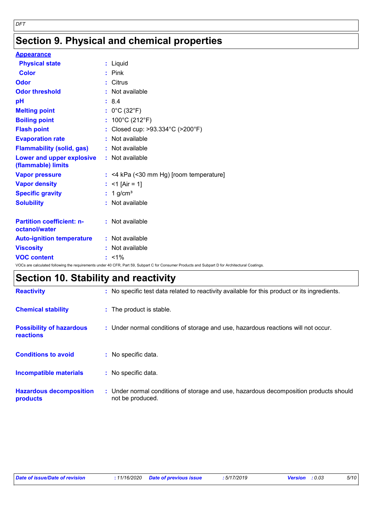### **Section 9. Physical and chemical properties**

| <b>Appearance</b>                                 |                                                                                                                                                 |
|---------------------------------------------------|-------------------------------------------------------------------------------------------------------------------------------------------------|
| <b>Physical state</b>                             | : Liquid                                                                                                                                        |
| <b>Color</b>                                      | $:$ Pink                                                                                                                                        |
| Odor                                              | : Citrus                                                                                                                                        |
| <b>Odor threshold</b>                             | : Not available                                                                                                                                 |
| pH                                                | : 8.4                                                                                                                                           |
| <b>Melting point</b>                              | : $0^{\circ}$ C (32 $^{\circ}$ F)                                                                                                               |
| <b>Boiling point</b>                              | : $100^{\circ}$ C (212 $^{\circ}$ F)                                                                                                            |
| <b>Flash point</b>                                | : Closed cup: >93.334°C (>200°F)                                                                                                                |
| <b>Evaporation rate</b>                           | : Not available                                                                                                                                 |
| <b>Flammability (solid, gas)</b>                  | : Not available                                                                                                                                 |
| Lower and upper explosive<br>(flammable) limits   | : Not available                                                                                                                                 |
| <b>Vapor pressure</b>                             | $:$ <4 kPa (<30 mm Hg) [room temperature]                                                                                                       |
| <b>Vapor density</b>                              | : <1 [Air = 1]                                                                                                                                  |
| <b>Specific gravity</b>                           | $: 1$ g/cm <sup>3</sup>                                                                                                                         |
| <b>Solubility</b>                                 | : Not available                                                                                                                                 |
| <b>Partition coefficient: n-</b><br>octanol/water | : Not available                                                                                                                                 |
| <b>Auto-ignition temperature</b>                  | : Not available                                                                                                                                 |
| <b>Viscosity</b>                                  | : Not available                                                                                                                                 |
| <b>VOC content</b>                                | $: 1\%$                                                                                                                                         |
|                                                   | VOCs are calculated following the requirements under 40 CFR, Part 59, Subpart C for Consumer Products and Subpart D for Architectural Coatings. |

## **Section 10. Stability and reactivity**

| <b>Reactivity</b>                            | : No specific test data related to reactivity available for this product or its ingredients.              |
|----------------------------------------------|-----------------------------------------------------------------------------------------------------------|
| <b>Chemical stability</b>                    | : The product is stable.                                                                                  |
| <b>Possibility of hazardous</b><br>reactions | : Under normal conditions of storage and use, hazardous reactions will not occur.                         |
| <b>Conditions to avoid</b>                   | : No specific data.                                                                                       |
| <b>Incompatible materials</b>                | : No specific data.                                                                                       |
| <b>Hazardous decomposition</b><br>products   | : Under normal conditions of storage and use, hazardous decomposition products should<br>not be produced. |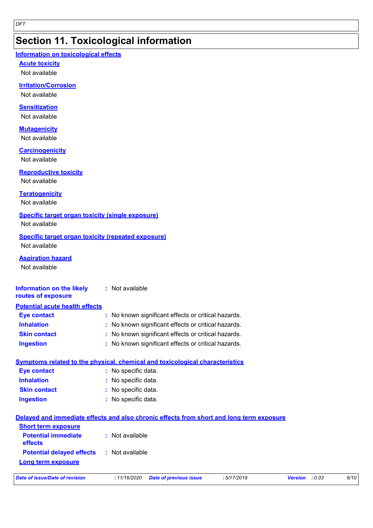### **Section 11. Toxicological information**

#### **Information on toxicological effects**

**Acute toxicity**

Not available

#### **Irritation/Corrosion**

Not available

#### **Sensitization**

Not available

#### **Mutagenicity**

Not available

#### **Carcinogenicity**

Not available

#### **Reproductive toxicity**

Not available

#### **Teratogenicity**

Not available

#### **Specific target organ toxicity (single exposure)**

Not available

#### **Specific target organ toxicity (repeated exposure)** Not available

**Aspiration hazard**

Not available

#### **Information on the likely routes of exposure :** Not available

| <b>Potential acute health effects</b> |                                                     |
|---------------------------------------|-----------------------------------------------------|
| <b>Eye contact</b>                    | : No known significant effects or critical hazards. |
| <b>Inhalation</b>                     | : No known significant effects or critical hazards. |
| <b>Skin contact</b>                   | : No known significant effects or critical hazards. |
| <b>Ingestion</b>                      | : No known significant effects or critical hazards. |

|                     | Symptoms related to the physical, chemical and toxicological characteristics |
|---------------------|------------------------------------------------------------------------------|
| Eye contact         | : No specific data.                                                          |
| <b>Inhalation</b>   | : No specific data.                                                          |
| <b>Skin contact</b> | : No specific data.                                                          |
| <b>Ingestion</b>    | : No specific data.                                                          |

#### **Delayed and immediate effects and also chronic effects from short and long term exposure**

| <b>Short term exposure</b>            |                 |
|---------------------------------------|-----------------|
| <b>Potential immediate</b><br>effects | : Not available |
| <b>Potential delayed effects</b>      | : Not available |
| Long term exposure                    |                 |

| Date of issue/Date of revision |  |
|--------------------------------|--|
|--------------------------------|--|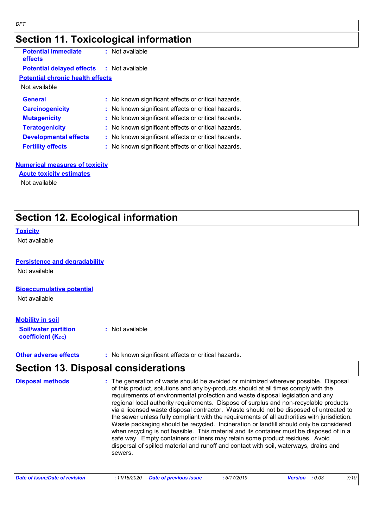### **Section 11. Toxicological information**

| <b>Potential immediate</b><br>effects            | $:$ Not available                                   |
|--------------------------------------------------|-----------------------------------------------------|
| <b>Potential delayed effects : Not available</b> |                                                     |
| <b>Potential chronic health effects</b>          |                                                     |
| Not available                                    |                                                     |
| <b>General</b>                                   | : No known significant effects or critical hazards. |
| <b>Carcinogenicity</b>                           | : No known significant effects or critical hazards. |
| <b>Mutagenicity</b>                              | : No known significant effects or critical hazards. |
| <b>Teratogenicity</b>                            | : No known significant effects or critical hazards. |
| <b>Developmental effects</b>                     | : No known significant effects or critical hazards. |
| <b>Fertility effects</b>                         | : No known significant effects or critical hazards. |
|                                                  |                                                     |

#### **Numerical measures of toxicity**

### **Acute toxicity estimates**

Not available

### **Section 12. Ecological information**

#### **Toxicity**

Not available

#### **Persistence and degradability**

Not available

#### **Bioaccumulative potential**

Not available

#### **Mobility in soil**

| <b>Soil/water partition</b> | : Not available |
|-----------------------------|-----------------|
| <b>coefficient (Koc)</b>    |                 |

**Other adverse effects** : No known significant effects or critical hazards.

### **Section 13. Disposal considerations**

| sewers. |  | requirements of environmental protection and waste disposal legislation and any<br>regional local authority requirements. Dispose of surplus and non-recyclable products<br>via a licensed waste disposal contractor. Waste should not be disposed of untreated to<br>the sewer unless fully compliant with the requirements of all authorities with jurisdiction.<br>Waste packaging should be recycled. Incineration or landfill should only be considered<br>when recycling is not feasible. This material and its container must be disposed of in a<br>safe way. Empty containers or liners may retain some product residues. Avoid<br>dispersal of spilled material and runoff and contact with soil, waterways, drains and |
|---------|--|-----------------------------------------------------------------------------------------------------------------------------------------------------------------------------------------------------------------------------------------------------------------------------------------------------------------------------------------------------------------------------------------------------------------------------------------------------------------------------------------------------------------------------------------------------------------------------------------------------------------------------------------------------------------------------------------------------------------------------------|
|---------|--|-----------------------------------------------------------------------------------------------------------------------------------------------------------------------------------------------------------------------------------------------------------------------------------------------------------------------------------------------------------------------------------------------------------------------------------------------------------------------------------------------------------------------------------------------------------------------------------------------------------------------------------------------------------------------------------------------------------------------------------|

| Date of issue/Date of revision | : 11/16/2020 Date of previous issue | : 5/17/2019 | <b>Version</b> : 0.03 | 7/10 |
|--------------------------------|-------------------------------------|-------------|-----------------------|------|
|--------------------------------|-------------------------------------|-------------|-----------------------|------|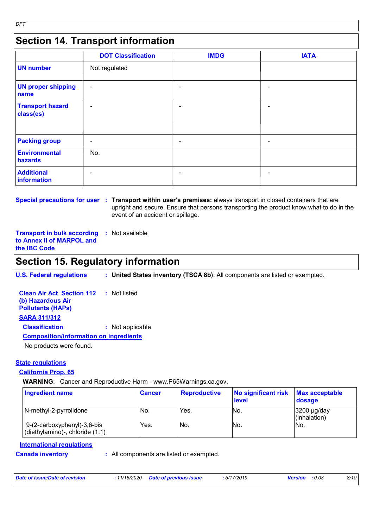### **Section 14. Transport information**

|                                      | <b>DOT Classification</b> | <b>IMDG</b> | <b>IATA</b>    |
|--------------------------------------|---------------------------|-------------|----------------|
| <b>UN number</b>                     | Not regulated             |             |                |
| <b>UN proper shipping</b><br>name    | $\blacksquare$            | ۰           | -              |
| <b>Transport hazard</b><br>class(es) | $\blacksquare$            | -           | -              |
| <b>Packing group</b>                 | ۰                         | ۰           | ۰              |
| Environmental<br>hazards             | No.                       |             |                |
| <b>Additional</b><br>information     | ۰                         |             | $\blacksquare$ |

**Special precautions for user Transport within user's premises:** always transport in closed containers that are **:** upright and secure. Ensure that persons transporting the product know what to do in the event of an accident or spillage.

**Transport in bulk according :** Not available **to Annex II of MARPOL and the IBC Code**

### **Section 15. Regulatory information**

**U.S. Federal regulations : United States inventory (TSCA 8b)**: All components are listed or exempted.

**Clean Air Act Section 112 (b) Hazardous Air Pollutants (HAPs) :** Not listed **SARA 311/312 Classification :** Not applicable No products were found. **Composition/information on ingredients**

#### **State regulations**

#### **California Prop. 65**

**WARNING**: Cancer and Reproductive Harm - www.P65Warnings.ca.gov.

| <b>Ingredient name</b>                                         | <b>Cancer</b> | <b>Reproductive</b> | No significant risk<br>level | <b>Max acceptable</b><br>dosage  |
|----------------------------------------------------------------|---------------|---------------------|------------------------------|----------------------------------|
| N-methyl-2-pyrrolidone                                         | No.           | Yes.                | No.                          | $3200 \mu g/day$<br>(inhalation) |
| 9-(2-carboxyphenyl)-3,6-bis<br>(diethylamino)-, chloride (1:1) | Yes.          | INo.                | No.                          | No.                              |

#### **International regulations**

**Canada inventory :** All components are listed or exempted.

| Date of issue/Date of revision | : 11/16/2020 Date of previous issue | : 5/17/2019 | <b>Version</b> : 0.03 | 8/10 |
|--------------------------------|-------------------------------------|-------------|-----------------------|------|
|                                |                                     |             |                       |      |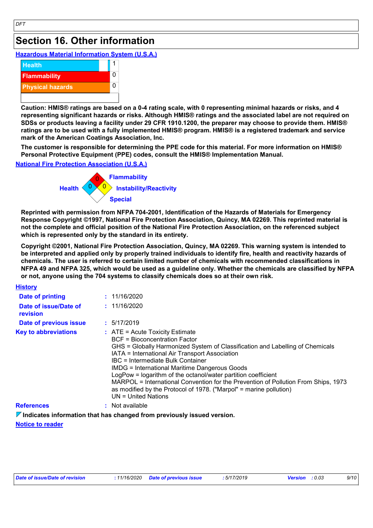### **Section 16. Other information**

**Hazardous Material Information System (U.S.A.)**



**Caution: HMIS® ratings are based on a 0-4 rating scale, with 0 representing minimal hazards or risks, and 4 representing significant hazards or risks. Although HMIS® ratings and the associated label are not required on SDSs or products leaving a facility under 29 CFR 1910.1200, the preparer may choose to provide them. HMIS® ratings are to be used with a fully implemented HMIS® program. HMIS® is a registered trademark and service mark of the American Coatings Association, Inc.**

**The customer is responsible for determining the PPE code for this material. For more information on HMIS® Personal Protective Equipment (PPE) codes, consult the HMIS® Implementation Manual.**

**National Fire Protection Association (U.S.A.)**



**Reprinted with permission from NFPA 704-2001, Identification of the Hazards of Materials for Emergency Response Copyright ©1997, National Fire Protection Association, Quincy, MA 02269. This reprinted material is not the complete and official position of the National Fire Protection Association, on the referenced subject which is represented only by the standard in its entirety.**

**Copyright ©2001, National Fire Protection Association, Quincy, MA 02269. This warning system is intended to be interpreted and applied only by properly trained individuals to identify fire, health and reactivity hazards of chemicals. The user is referred to certain limited number of chemicals with recommended classifications in NFPA 49 and NFPA 325, which would be used as a guideline only. Whether the chemicals are classified by NFPA or not, anyone using the 704 systems to classify chemicals does so at their own risk.**

| <b>History</b>                    |                                                                                                                                                                                                                                                                                                                                                                                                                                                                                                                                                                          |
|-----------------------------------|--------------------------------------------------------------------------------------------------------------------------------------------------------------------------------------------------------------------------------------------------------------------------------------------------------------------------------------------------------------------------------------------------------------------------------------------------------------------------------------------------------------------------------------------------------------------------|
| Date of printing                  | : 11/16/2020                                                                                                                                                                                                                                                                                                                                                                                                                                                                                                                                                             |
| Date of issue/Date of<br>revision | : 11/16/2020                                                                                                                                                                                                                                                                                                                                                                                                                                                                                                                                                             |
| Date of previous issue            | : 5/17/2019                                                                                                                                                                                                                                                                                                                                                                                                                                                                                                                                                              |
| <b>Key to abbreviations</b>       | $\therefore$ ATE = Acute Toxicity Estimate<br><b>BCF</b> = Bioconcentration Factor<br>GHS = Globally Harmonized System of Classification and Labelling of Chemicals<br>IATA = International Air Transport Association<br>IBC = Intermediate Bulk Container<br><b>IMDG = International Maritime Dangerous Goods</b><br>LogPow = logarithm of the octanol/water partition coefficient<br>MARPOL = International Convention for the Prevention of Pollution From Ships, 1973<br>as modified by the Protocol of 1978. ("Marpol" = marine pollution)<br>$UN = United Nations$ |
| <b>References</b>                 | : Not available                                                                                                                                                                                                                                                                                                                                                                                                                                                                                                                                                          |

**Indicates information that has changed from previously issued version.**

#### **Notice to reader**